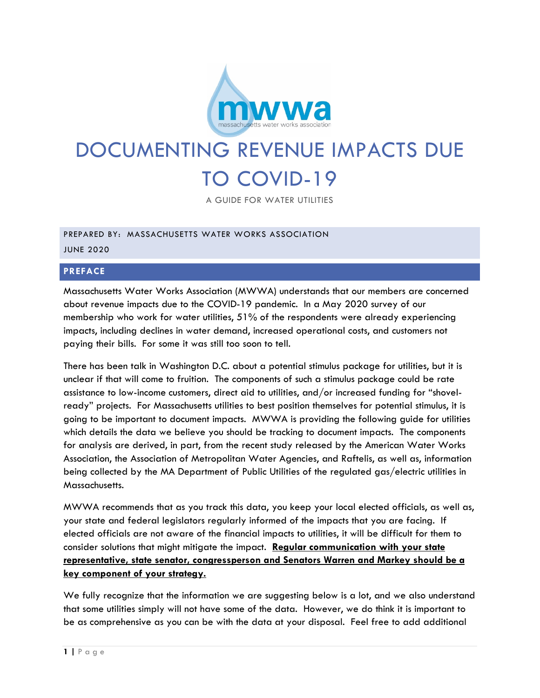

# DOCUMENTING REVENUE IMPACTS DUE TO COVID-19

A GUIDE FOR WATER UTILITIES

## PREPARED BY: MASSACHUSETTS WATER WORKS ASSOCIATION JUNE 2020

## **PREFACE**

Massachusetts Water Works Association (MWWA) understands that our members are concerned about revenue impacts due to the COVID-19 pandemic. In a May 2020 survey of our membership who work for water utilities, 51% of the respondents were already experiencing impacts, including declines in water demand, increased operational costs, and customers not paying their bills. For some it was still too soon to tell.

There has been talk in Washington D.C. about a potential stimulus package for utilities, but it is unclear if that will come to fruition. The components of such a stimulus package could be rate assistance to low-income customers, direct aid to utilities, and/or increased funding for "shovelready" projects. For Massachusetts utilities to best position themselves for potential stimulus, it is going to be important to document impacts. MWWA is providing the following guide for utilities which details the data we believe you should be tracking to document impacts. The components for analysis are derived, in part, from the recent study released by the American Water Works Association, the Association of Metropolitan Water Agencies, and Raftelis, as well as, information being collected by the MA Department of Public Utilities of the regulated gas/electric utilities in Massachusetts.

MWWA recommends that as you track this data, you keep your local elected officials, as well as, your state and federal legislators regularly informed of the impacts that you are facing. If elected officials are not aware of the financial impacts to utilities, it will be difficult for them to consider solutions that might mitigate the impact. **Regular communication with your state representative, state senator, congressperson and Senators Warren and Markey should be a key component of your strategy.** 

We fully recognize that the information we are suggesting below is a lot, and we also understand that some utilities simply will not have some of the data. However, we do think it is important to be as comprehensive as you can be with the data at your disposal. Feel free to add additional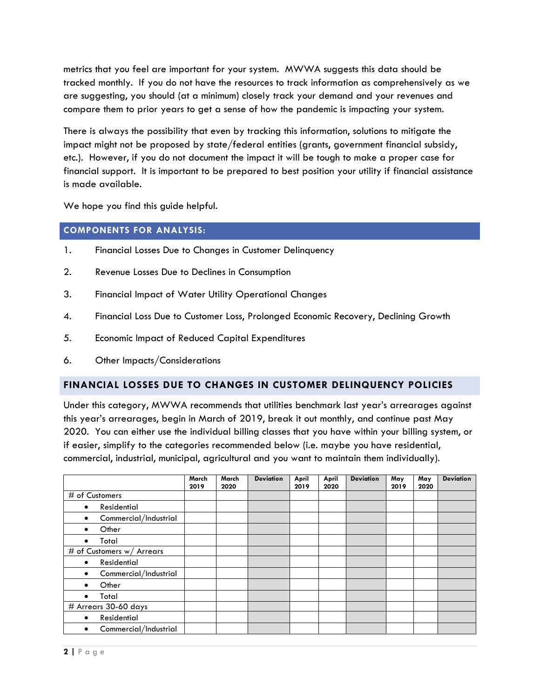metrics that you feel are important for your system. MWWA suggests this data should be tracked monthly. If you do not have the resources to track information as comprehensively as we are suggesting, you should (at a minimum) closely track your demand and your revenues and compare them to prior years to get a sense of how the pandemic is impacting your system.

There is always the possibility that even by tracking this information, solutions to mitigate the impact might not be proposed by state/federal entities (grants, government financial subsidy, etc.). However, if you do not document the impact it will be tough to make a proper case for financial support. It is important to be prepared to best position your utility if financial assistance is made available.

We hope you find this guide helpful.

#### **COMPONENTS FOR ANALYSIS:**

- 1. Financial Losses Due to Changes in Customer Delinquency
- 2. Revenue Losses Due to Declines in Consumption
- 3. Financial Impact of Water Utility Operational Changes
- 4. Financial Loss Due to Customer Loss, Prolonged Economic Recovery, Declining Growth
- 5. Economic Impact of Reduced Capital Expenditures
- 6. Other Impacts/Considerations

## **FINANCIAL LOSSES DUE TO CHANGES IN CUSTOMER DELINQUENCY POLICIES**

Under this category, MWWA recommends that utilities benchmark last year's arrearages against this year's arrearages, begin in March of 2019, break it out monthly, and continue past May 2020. You can either use the individual billing classes that you have within your billing system, or if easier, simplify to the categories recommended below (i.e. maybe you have residential, commercial, industrial, municipal, agricultural and you want to maintain them individually).

|                            | March<br>2019 | March<br>2020 | <b>Deviation</b> | April<br>2019 | April<br>2020 | <b>Deviation</b> | May<br>2019 | May<br>2020 | <b>Deviation</b> |
|----------------------------|---------------|---------------|------------------|---------------|---------------|------------------|-------------|-------------|------------------|
| # of Customers             |               |               |                  |               |               |                  |             |             |                  |
| Residential<br>$\bullet$   |               |               |                  |               |               |                  |             |             |                  |
| Commercial/Industrial<br>٠ |               |               |                  |               |               |                  |             |             |                  |
| Other                      |               |               |                  |               |               |                  |             |             |                  |
| Total                      |               |               |                  |               |               |                  |             |             |                  |
| # of Customers w/ Arrears  |               |               |                  |               |               |                  |             |             |                  |
| Residential<br>٠           |               |               |                  |               |               |                  |             |             |                  |
| Commercial/Industrial<br>٠ |               |               |                  |               |               |                  |             |             |                  |
| Other                      |               |               |                  |               |               |                  |             |             |                  |
| Total                      |               |               |                  |               |               |                  |             |             |                  |
| # Arrears 30-60 days       |               |               |                  |               |               |                  |             |             |                  |
| Residential<br>$\bullet$   |               |               |                  |               |               |                  |             |             |                  |
| Commercial/Industrial<br>٠ |               |               |                  |               |               |                  |             |             |                  |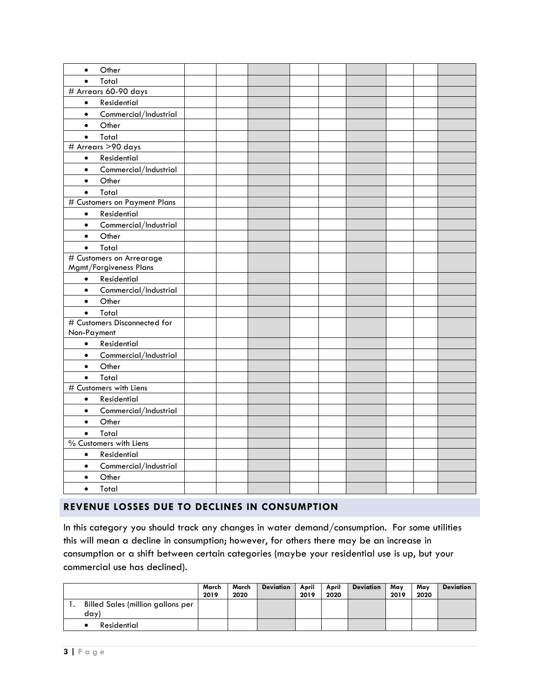| Other<br>$\bullet$                 |  |  |  |  |  |
|------------------------------------|--|--|--|--|--|
| Total<br>$\bullet$                 |  |  |  |  |  |
| # Arrears 60-90 days               |  |  |  |  |  |
| Residential<br>$\bullet$           |  |  |  |  |  |
| Commercial/Industrial<br>$\bullet$ |  |  |  |  |  |
| Other<br>$\bullet$                 |  |  |  |  |  |
| Total<br>$\bullet$                 |  |  |  |  |  |
| # Arrears >90 days                 |  |  |  |  |  |
| Residential<br>$\bullet$           |  |  |  |  |  |
| Commercial/Industrial<br>$\bullet$ |  |  |  |  |  |
| Other<br>$\bullet$                 |  |  |  |  |  |
| Total<br>$\bullet$                 |  |  |  |  |  |
| # Customers on Payment Plans       |  |  |  |  |  |
| Residential<br>$\bullet$           |  |  |  |  |  |
| Commercial/Industrial<br>$\bullet$ |  |  |  |  |  |
| Other<br>$\bullet$                 |  |  |  |  |  |
| Total<br>$\bullet$                 |  |  |  |  |  |
| # Customers on Arrearage           |  |  |  |  |  |
| Mgmt/Forgiveness Plans             |  |  |  |  |  |
| Residential<br>$\bullet$           |  |  |  |  |  |
| Commercial/Industrial<br>$\bullet$ |  |  |  |  |  |
| Other<br>$\bullet$                 |  |  |  |  |  |
| Total<br>$\bullet$                 |  |  |  |  |  |
| # Customers Disconnected for       |  |  |  |  |  |
| Non-Payment                        |  |  |  |  |  |
| Residential<br>$\bullet$           |  |  |  |  |  |
| Commercial/Industrial<br>$\bullet$ |  |  |  |  |  |
| Other<br>$\bullet$                 |  |  |  |  |  |
| Total<br>$\bullet$                 |  |  |  |  |  |
| # Customers with Liens             |  |  |  |  |  |
| Residential<br>$\bullet$           |  |  |  |  |  |
| Commercial/Industrial<br>$\bullet$ |  |  |  |  |  |
| Other<br>$\bullet$                 |  |  |  |  |  |
| Total<br>$\bullet$                 |  |  |  |  |  |
| % Customers with Liens             |  |  |  |  |  |
| Residential<br>$\bullet$           |  |  |  |  |  |
| Commercial/Industrial<br>$\bullet$ |  |  |  |  |  |
| Other<br>$\bullet$                 |  |  |  |  |  |
| Total<br>$\bullet$                 |  |  |  |  |  |
|                                    |  |  |  |  |  |

# **REVENUE LOSSES DUE TO DECLINES IN CONSUMPTION**

In this category you should track any changes in water demand/consumption. For some utilities this will mean a decline in consumption; however, for others there may be an increase in consumption or a shift between certain categories (maybe your residential use is up, but your commercial use has declined).

|    |                                   | March<br>2019 | March<br>2020 | <b>Deviation</b> | April<br>2019 | April<br>2020 | <b>Deviation</b> | Mav<br>2019 | Mav<br>2020 | <b>Deviation</b> |
|----|-----------------------------------|---------------|---------------|------------------|---------------|---------------|------------------|-------------|-------------|------------------|
| ٠. | Billed Sales (million gallons per |               |               |                  |               |               |                  |             |             |                  |
|    | day'                              |               |               |                  |               |               |                  |             |             |                  |
|    | Residential                       |               |               |                  |               |               |                  |             |             |                  |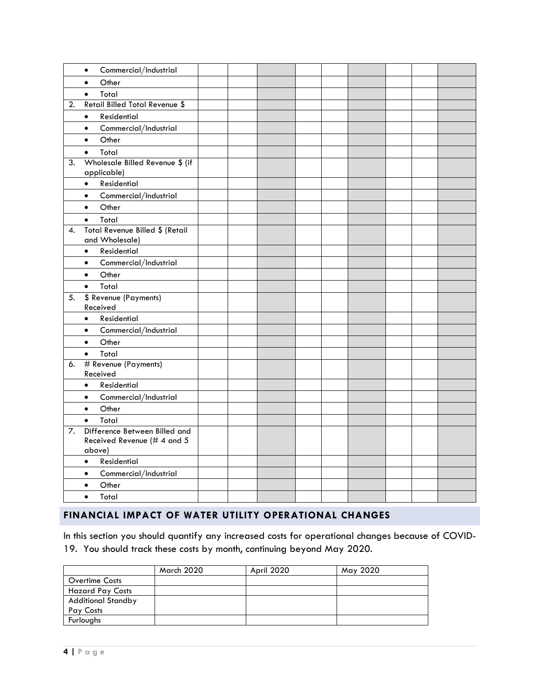|    | Commercial/Industrial<br>$\bullet$                                     |  |  |  |  |  |
|----|------------------------------------------------------------------------|--|--|--|--|--|
|    | Other<br>$\bullet$                                                     |  |  |  |  |  |
|    | Total<br>$\bullet$                                                     |  |  |  |  |  |
| 2. | <b>Retail Billed Total Revenue \$</b>                                  |  |  |  |  |  |
|    | Residential<br>$\bullet$                                               |  |  |  |  |  |
|    | Commercial/Industrial<br>$\bullet$                                     |  |  |  |  |  |
|    | Other<br>$\bullet$                                                     |  |  |  |  |  |
|    | Total<br>$\bullet$                                                     |  |  |  |  |  |
| 3. | Wholesale Billed Revenue \$ (if<br>applicable)                         |  |  |  |  |  |
|    | <b>Residential</b><br>$\bullet$                                        |  |  |  |  |  |
|    | Commercial/Industrial<br>$\bullet$                                     |  |  |  |  |  |
|    | Other<br>$\bullet$                                                     |  |  |  |  |  |
|    | Total<br>$\bullet$                                                     |  |  |  |  |  |
| 4. | Total Revenue Billed \$ (Retail<br>and Wholesale)                      |  |  |  |  |  |
|    | Residential<br>$\bullet$                                               |  |  |  |  |  |
|    | Commercial/Industrial<br>$\bullet$                                     |  |  |  |  |  |
|    | Other<br>$\bullet$                                                     |  |  |  |  |  |
|    | Total<br>$\bullet$                                                     |  |  |  |  |  |
| 5. | \$ Revenue (Payments)<br>Received                                      |  |  |  |  |  |
|    | Residential<br>$\bullet$                                               |  |  |  |  |  |
|    | Commercial/Industrial<br>$\bullet$                                     |  |  |  |  |  |
|    | Other<br>$\bullet$                                                     |  |  |  |  |  |
|    | Total<br>$\bullet$                                                     |  |  |  |  |  |
| 6. | # Revenue (Payments)<br>Received                                       |  |  |  |  |  |
|    | Residential<br>$\bullet$                                               |  |  |  |  |  |
|    | Commercial/Industrial<br>$\bullet$                                     |  |  |  |  |  |
|    | Other<br>$\bullet$                                                     |  |  |  |  |  |
|    | Total<br>$\bullet$                                                     |  |  |  |  |  |
| 7. | Difference Between Billed and<br>Received Revenue (# 4 and 5<br>above) |  |  |  |  |  |
|    | Residential<br>$\bullet$                                               |  |  |  |  |  |
|    | Commercial/Industrial<br>$\bullet$                                     |  |  |  |  |  |
|    | Other<br>$\bullet$                                                     |  |  |  |  |  |
|    | Total<br>$\bullet$                                                     |  |  |  |  |  |

# **FINANCIAL IMPACT OF WATER UTILITY OPERATIONAL CHANGES**

In this section you should quantify any increased costs for operational changes because of COVID-19. You should track these costs by month, continuing beyond May 2020.

|                           | March 2020 | April 2020 | May 2020 |
|---------------------------|------------|------------|----------|
| <b>Overtime Costs</b>     |            |            |          |
| <b>Hazard Pay Costs</b>   |            |            |          |
| <b>Additional Standby</b> |            |            |          |
| Pay Costs                 |            |            |          |
| Furloughs                 |            |            |          |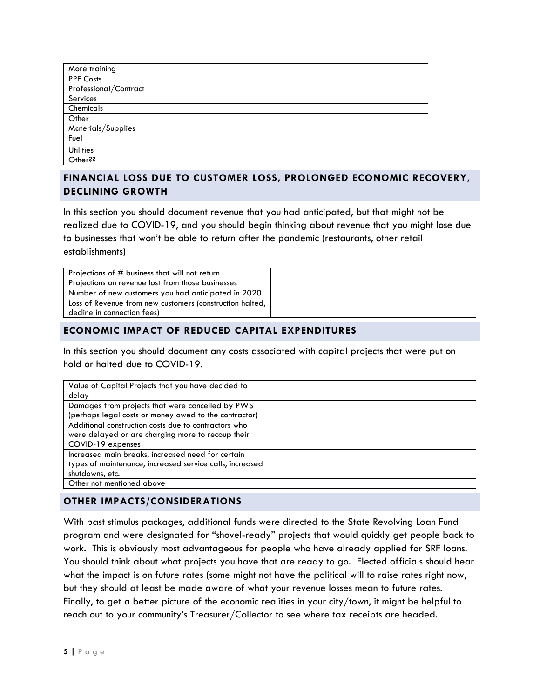| More training         |  |  |
|-----------------------|--|--|
| <b>PPE Costs</b>      |  |  |
| Professional/Contract |  |  |
| Services              |  |  |
| Chemicals             |  |  |
| Other                 |  |  |
| Materials/Supplies    |  |  |
| Fuel                  |  |  |
| <b>Utilities</b>      |  |  |
| Other <sup>??</sup>   |  |  |

# **FINANCIAL LOSS DUE TO CUSTOMER LOSS, PROLONGED ECONOMIC RECOVERY, DECLINING GROWTH**

In this section you should document revenue that you had anticipated, but that might not be realized due to COVID-19, and you should begin thinking about revenue that you might lose due to businesses that won't be able to return after the pandemic (restaurants, other retail establishments)

| Projections of # business that will not return             |  |
|------------------------------------------------------------|--|
| Projections on revenue lost from those businesses          |  |
| Number of new customers you had anticipated in 2020        |  |
| Loss of Revenue from new customers (construction halted, 1 |  |
| decline in connection fees)                                |  |

## **ECONOMIC IMPACT OF REDUCED CAPITAL EXPENDITURES**

In this section you should document any costs associated with capital projects that were put on hold or halted due to COVID-19.

| Value of Capital Projects that you have decided to       |  |
|----------------------------------------------------------|--|
| delay                                                    |  |
| Damages from projects that were cancelled by PWS         |  |
| (perhaps legal costs or money owed to the contractor)    |  |
| Additional construction costs due to contractors who     |  |
| were delayed or are charging more to recoup their        |  |
| COVID-19 expenses                                        |  |
| Increased main breaks, increased need for certain        |  |
| types of maintenance, increased service calls, increased |  |
| shutdowns, etc.                                          |  |
| Other not mentioned above                                |  |

## **OTHER IMPACTS/CONSIDERATIONS**

With past stimulus packages, additional funds were directed to the State Revolving Loan Fund program and were designated for "shovel-ready" projects that would quickly get people back to work. This is obviously most advantageous for people who have already applied for SRF loans. You should think about what projects you have that are ready to go. Elected officials should hear what the impact is on future rates (some might not have the political will to raise rates right now, but they should at least be made aware of what your revenue losses mean to future rates. Finally, to get a better picture of the economic realities in your city/town, it might be helpful to reach out to your community's Treasurer/Collector to see where tax receipts are headed.